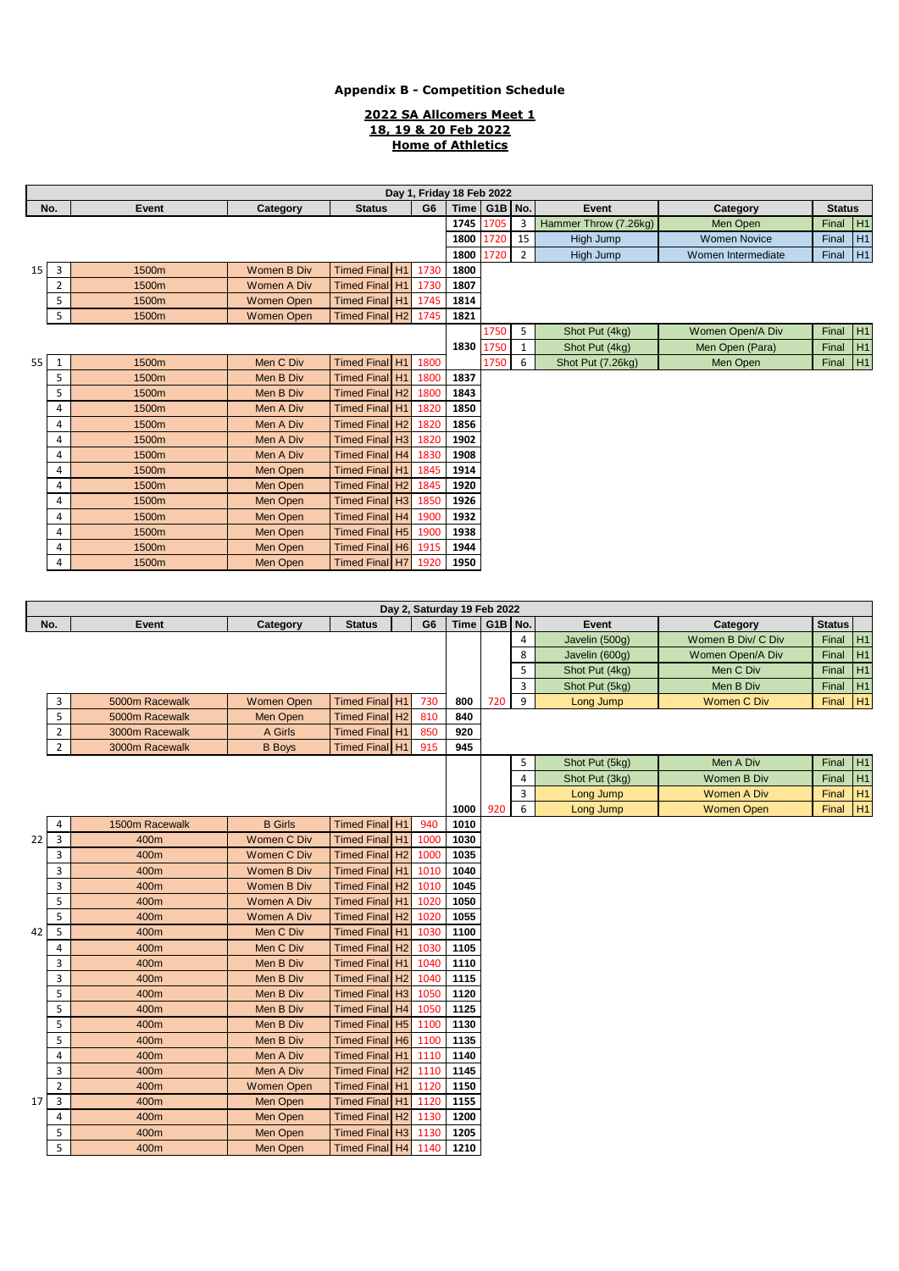#### **2022 SA Allcomers Meet 1 18, 19 & 20 Feb 2022 Home of Athletics**

|                 | Day 1, Friday 18 Feb 2022                                   |       |                    |                            |             |                |                                            |         |                |                       |                     |               |    |
|-----------------|-------------------------------------------------------------|-------|--------------------|----------------------------|-------------|----------------|--------------------------------------------|---------|----------------|-----------------------|---------------------|---------------|----|
|                 | G <sub>6</sub><br>No.<br>Event<br>Category<br><b>Status</b> |       |                    |                            | <b>Time</b> | G1B No.        |                                            | Event   | Category       | <b>Status</b>         |                     |               |    |
|                 |                                                             |       |                    |                            |             |                | 1745                                       | 1705    | 3              | Hammer Throw (7.26kg) | Men Open            | Final         | H1 |
|                 |                                                             |       |                    |                            |             |                | 1800                                       | .720    | 15             | High Jump             | <b>Women Novice</b> | Final         | H1 |
|                 |                                                             |       |                    |                            |             |                | 1800                                       | 1720    | $\overline{2}$ | High Jump             | Women Intermediate  | Final         | H1 |
| 15 <sup>1</sup> | 3                                                           | 1500m | <b>Women B Div</b> | Timed Final H1             |             | 1730           | 1800                                       |         |                |                       |                     |               |    |
|                 | $\overline{2}$                                              | 1500m | <b>Women A Div</b> | Timed Final H <sub>1</sub> |             | 1730           | 1807                                       |         |                |                       |                     |               |    |
|                 | 5                                                           | 1500m | <b>Women Open</b>  | Timed Final H1             |             | 1745           | 1814                                       |         |                |                       |                     |               |    |
|                 | 5                                                           | 1500m | <b>Women Open</b>  | Timed Final H2             |             | 1745           | 1821                                       |         |                |                       |                     |               |    |
|                 |                                                             |       |                    |                            |             |                |                                            | 1750    | 5              | Shot Put (4kg)        | Women Open/A Div    | Final         | H1 |
|                 |                                                             |       |                    |                            |             |                | 1830 1750                                  |         | $\mathbf{1}$   | Shot Put (4kg)        | Men Open (Para)     | Final         | H1 |
| 55              | $\mathbf{1}$                                                | 1500m | Men C Div          | Timed Final H1             |             | 1800           |                                            | 1750    | 6              | Shot Put (7.26kg)     | Men Open            | Final H1      |    |
|                 | 5                                                           | 1500m | Men B Div          | Timed Final H1             |             | 1800           | 1837                                       |         |                |                       |                     |               |    |
|                 | 5                                                           | 1500m | Men B Div          | Timed Final H2             |             | 1800           | 1843                                       |         |                |                       |                     |               |    |
|                 | 4                                                           | 1500m | Men A Div          | Timed Final H1             |             | 1820           | 1850                                       |         |                |                       |                     |               |    |
|                 | 4                                                           | 1500m | Men A Div          | Timed Final H <sub>2</sub> |             | 1820           | 1856                                       |         |                |                       |                     |               |    |
|                 | 4                                                           | 1500m | Men A Div          | Timed Final H3             |             | 1820           | 1902                                       |         |                |                       |                     |               |    |
|                 | 4                                                           | 1500m | Men A Div          | Timed Final H4             |             | 1830           | 1908                                       |         |                |                       |                     |               |    |
|                 | 4                                                           | 1500m | Men Open           | Timed Final H1             |             | 1845           | 1914                                       |         |                |                       |                     |               |    |
|                 | 4                                                           | 1500m | Men Open           | Timed Final H <sub>2</sub> |             | 1845           | 1920                                       |         |                |                       |                     |               |    |
|                 | 4                                                           | 1500m | Men Open           | Timed Final H3             |             | 1850           | 1926                                       |         |                |                       |                     |               |    |
|                 | 4                                                           | 1500m | Men Open           | Timed Final H4             |             | 1900           | 1932                                       |         |                |                       |                     |               |    |
|                 | 4                                                           | 1500m | Men Open           | Timed Final H5             |             | 1900           | 1938                                       |         |                |                       |                     |               |    |
|                 | 4                                                           | 1500m | Men Open           | <b>Timed Final H6</b>      |             | 1915           | 1944                                       |         |                |                       |                     |               |    |
|                 | 4                                                           | 1500m | Men Open           | Timed Final H7             |             | 1920           | 1950                                       |         |                |                       |                     |               |    |
|                 |                                                             |       |                    |                            |             |                |                                            |         |                |                       |                     |               |    |
|                 |                                                             |       |                    |                            |             |                |                                            |         |                |                       |                     |               |    |
| No.             |                                                             | Event |                    | <b>Status</b>              |             | G <sub>6</sub> | Day 2, Saturday 19 Feb 2022<br><b>Time</b> | G1B No. |                | Event                 | Category            | <b>Status</b> |    |
|                 |                                                             |       | Category           |                            |             |                |                                            |         | 4              | Javelin (500g)        | Women B Div/ C Div  | Final         | H1 |
|                 |                                                             |       |                    |                            |             |                |                                            |         | 8              | Javelin (600g)        | Women Open/A Div    | Final H1      |    |

| 5<br>Final H1<br>Men C Div<br>Shot Put (4kg)<br>3<br>Final $H1$<br>Shot Put (5kg)<br>Men B Div<br>9<br>H <sub>1</sub><br>3<br>Timed Final H1<br><b>Women C Div</b><br>5000m Racewalk<br><b>Women Open</b><br>730<br>720<br>Long Jump<br>Final<br>800<br>5<br>Timed Final H2<br>810<br>840<br>5000m Racewalk<br>Men Open<br>$\overline{2}$<br>Timed Final H1<br>850<br>920<br>3000m Racewalk<br>A Girls<br>$\overline{2}$<br>Timed Final   H1<br>915<br>3000m Racewalk<br><b>B</b> Boys<br>945<br>5<br>Men A Div<br>Final H1<br>Shot Put (5kg)<br>H1<br>4<br>Shot Put (3kg)<br>Women B Div<br>Final<br>H <sub>1</sub><br>3<br><b>Women A Div</b><br>Long Jump<br>Final<br>H <sub>1</sub><br>6<br>920<br><b>Women Open</b><br>1000<br>Long Jump<br>Final<br>1500m Racewalk<br><b>B</b> Girls<br>Timed Final H1<br>940<br>1010<br>4<br>$\overline{3}$<br><b>Women C Div</b><br>Timed Final H1<br>400m<br>1000<br>1030<br><b>Women C Div</b><br>Timed Final H2<br>1000<br>3<br>400m<br>1035<br>3<br>Timed Final H1<br>1010<br>1040<br>Women B Div<br>400m<br>3<br><b>Women B Div</b><br>Timed Final H <sub>2</sub><br>1010<br>1045<br>400m<br>5<br>Timed Final H1<br>1050<br>400m<br><b>Women A Div</b><br>1020<br>5<br>Timed Final H2<br>1020<br>1055<br>400m<br><b>Women A Div</b><br>5<br>Men C Div<br>Timed Final H1<br>1030<br>1100<br>400m<br>Timed Final H2 1030<br>Men C Div<br>1105<br>4<br>400m<br>3<br>Timed Final H1<br>Men B Div<br>1040<br>1110<br>400m<br>3<br>Timed Final H2 1040<br>Men B Div<br>1115<br>400m<br>5<br>1050<br>Men B Div<br>Timed Final H3<br>1120<br>400m<br>5<br>Timed Final H4 1050<br>400m<br>Men B Div<br>1125<br>5<br>Timed Final H5 1100<br>Men B Div<br>1130<br>400m<br>5<br>Timed Final H6 1100<br>1135<br>400m<br>Men B Div<br>Timed Final H1 1110<br>4<br>400m<br>Men A Div<br>1140<br>Timed Final H2 1110<br>3<br>Men A Div<br>1145<br>400m<br>$\overline{2}$<br>Timed Final H1 1120<br>1150<br>400m<br><b>Women Open</b><br>$\overline{3}$<br>Timed Final H1 1120<br>Men Open<br>1155<br>400m<br>Timed Final H2 1130<br>1200<br>4<br>400m<br>Men Open<br>5<br>Timed Final H3 1130<br>1205<br>400m<br>Men Open<br>5<br>Timed Final H4 1140<br>1210<br>400m<br>Men Open |    |  |  |  |  | 0.40 | $\cdots$ | . |
|----------------------------------------------------------------------------------------------------------------------------------------------------------------------------------------------------------------------------------------------------------------------------------------------------------------------------------------------------------------------------------------------------------------------------------------------------------------------------------------------------------------------------------------------------------------------------------------------------------------------------------------------------------------------------------------------------------------------------------------------------------------------------------------------------------------------------------------------------------------------------------------------------------------------------------------------------------------------------------------------------------------------------------------------------------------------------------------------------------------------------------------------------------------------------------------------------------------------------------------------------------------------------------------------------------------------------------------------------------------------------------------------------------------------------------------------------------------------------------------------------------------------------------------------------------------------------------------------------------------------------------------------------------------------------------------------------------------------------------------------------------------------------------------------------------------------------------------------------------------------------------------------------------------------------------------------------------------------------------------------------------------------------------------------------------------------------------------------------------------------------------------------------------------------------------------------------------------|----|--|--|--|--|------|----------|---|
|                                                                                                                                                                                                                                                                                                                                                                                                                                                                                                                                                                                                                                                                                                                                                                                                                                                                                                                                                                                                                                                                                                                                                                                                                                                                                                                                                                                                                                                                                                                                                                                                                                                                                                                                                                                                                                                                                                                                                                                                                                                                                                                                                                                                                |    |  |  |  |  |      |          |   |
|                                                                                                                                                                                                                                                                                                                                                                                                                                                                                                                                                                                                                                                                                                                                                                                                                                                                                                                                                                                                                                                                                                                                                                                                                                                                                                                                                                                                                                                                                                                                                                                                                                                                                                                                                                                                                                                                                                                                                                                                                                                                                                                                                                                                                |    |  |  |  |  |      |          |   |
|                                                                                                                                                                                                                                                                                                                                                                                                                                                                                                                                                                                                                                                                                                                                                                                                                                                                                                                                                                                                                                                                                                                                                                                                                                                                                                                                                                                                                                                                                                                                                                                                                                                                                                                                                                                                                                                                                                                                                                                                                                                                                                                                                                                                                |    |  |  |  |  |      |          |   |
|                                                                                                                                                                                                                                                                                                                                                                                                                                                                                                                                                                                                                                                                                                                                                                                                                                                                                                                                                                                                                                                                                                                                                                                                                                                                                                                                                                                                                                                                                                                                                                                                                                                                                                                                                                                                                                                                                                                                                                                                                                                                                                                                                                                                                |    |  |  |  |  |      |          |   |
|                                                                                                                                                                                                                                                                                                                                                                                                                                                                                                                                                                                                                                                                                                                                                                                                                                                                                                                                                                                                                                                                                                                                                                                                                                                                                                                                                                                                                                                                                                                                                                                                                                                                                                                                                                                                                                                                                                                                                                                                                                                                                                                                                                                                                |    |  |  |  |  |      |          |   |
|                                                                                                                                                                                                                                                                                                                                                                                                                                                                                                                                                                                                                                                                                                                                                                                                                                                                                                                                                                                                                                                                                                                                                                                                                                                                                                                                                                                                                                                                                                                                                                                                                                                                                                                                                                                                                                                                                                                                                                                                                                                                                                                                                                                                                |    |  |  |  |  |      |          |   |
|                                                                                                                                                                                                                                                                                                                                                                                                                                                                                                                                                                                                                                                                                                                                                                                                                                                                                                                                                                                                                                                                                                                                                                                                                                                                                                                                                                                                                                                                                                                                                                                                                                                                                                                                                                                                                                                                                                                                                                                                                                                                                                                                                                                                                |    |  |  |  |  |      |          |   |
|                                                                                                                                                                                                                                                                                                                                                                                                                                                                                                                                                                                                                                                                                                                                                                                                                                                                                                                                                                                                                                                                                                                                                                                                                                                                                                                                                                                                                                                                                                                                                                                                                                                                                                                                                                                                                                                                                                                                                                                                                                                                                                                                                                                                                |    |  |  |  |  |      |          |   |
|                                                                                                                                                                                                                                                                                                                                                                                                                                                                                                                                                                                                                                                                                                                                                                                                                                                                                                                                                                                                                                                                                                                                                                                                                                                                                                                                                                                                                                                                                                                                                                                                                                                                                                                                                                                                                                                                                                                                                                                                                                                                                                                                                                                                                |    |  |  |  |  |      |          |   |
|                                                                                                                                                                                                                                                                                                                                                                                                                                                                                                                                                                                                                                                                                                                                                                                                                                                                                                                                                                                                                                                                                                                                                                                                                                                                                                                                                                                                                                                                                                                                                                                                                                                                                                                                                                                                                                                                                                                                                                                                                                                                                                                                                                                                                |    |  |  |  |  |      |          |   |
|                                                                                                                                                                                                                                                                                                                                                                                                                                                                                                                                                                                                                                                                                                                                                                                                                                                                                                                                                                                                                                                                                                                                                                                                                                                                                                                                                                                                                                                                                                                                                                                                                                                                                                                                                                                                                                                                                                                                                                                                                                                                                                                                                                                                                |    |  |  |  |  |      |          |   |
|                                                                                                                                                                                                                                                                                                                                                                                                                                                                                                                                                                                                                                                                                                                                                                                                                                                                                                                                                                                                                                                                                                                                                                                                                                                                                                                                                                                                                                                                                                                                                                                                                                                                                                                                                                                                                                                                                                                                                                                                                                                                                                                                                                                                                | 22 |  |  |  |  |      |          |   |
|                                                                                                                                                                                                                                                                                                                                                                                                                                                                                                                                                                                                                                                                                                                                                                                                                                                                                                                                                                                                                                                                                                                                                                                                                                                                                                                                                                                                                                                                                                                                                                                                                                                                                                                                                                                                                                                                                                                                                                                                                                                                                                                                                                                                                |    |  |  |  |  |      |          |   |
|                                                                                                                                                                                                                                                                                                                                                                                                                                                                                                                                                                                                                                                                                                                                                                                                                                                                                                                                                                                                                                                                                                                                                                                                                                                                                                                                                                                                                                                                                                                                                                                                                                                                                                                                                                                                                                                                                                                                                                                                                                                                                                                                                                                                                |    |  |  |  |  |      |          |   |
|                                                                                                                                                                                                                                                                                                                                                                                                                                                                                                                                                                                                                                                                                                                                                                                                                                                                                                                                                                                                                                                                                                                                                                                                                                                                                                                                                                                                                                                                                                                                                                                                                                                                                                                                                                                                                                                                                                                                                                                                                                                                                                                                                                                                                |    |  |  |  |  |      |          |   |
|                                                                                                                                                                                                                                                                                                                                                                                                                                                                                                                                                                                                                                                                                                                                                                                                                                                                                                                                                                                                                                                                                                                                                                                                                                                                                                                                                                                                                                                                                                                                                                                                                                                                                                                                                                                                                                                                                                                                                                                                                                                                                                                                                                                                                |    |  |  |  |  |      |          |   |
|                                                                                                                                                                                                                                                                                                                                                                                                                                                                                                                                                                                                                                                                                                                                                                                                                                                                                                                                                                                                                                                                                                                                                                                                                                                                                                                                                                                                                                                                                                                                                                                                                                                                                                                                                                                                                                                                                                                                                                                                                                                                                                                                                                                                                |    |  |  |  |  |      |          |   |
|                                                                                                                                                                                                                                                                                                                                                                                                                                                                                                                                                                                                                                                                                                                                                                                                                                                                                                                                                                                                                                                                                                                                                                                                                                                                                                                                                                                                                                                                                                                                                                                                                                                                                                                                                                                                                                                                                                                                                                                                                                                                                                                                                                                                                | 42 |  |  |  |  |      |          |   |
|                                                                                                                                                                                                                                                                                                                                                                                                                                                                                                                                                                                                                                                                                                                                                                                                                                                                                                                                                                                                                                                                                                                                                                                                                                                                                                                                                                                                                                                                                                                                                                                                                                                                                                                                                                                                                                                                                                                                                                                                                                                                                                                                                                                                                |    |  |  |  |  |      |          |   |
|                                                                                                                                                                                                                                                                                                                                                                                                                                                                                                                                                                                                                                                                                                                                                                                                                                                                                                                                                                                                                                                                                                                                                                                                                                                                                                                                                                                                                                                                                                                                                                                                                                                                                                                                                                                                                                                                                                                                                                                                                                                                                                                                                                                                                |    |  |  |  |  |      |          |   |
|                                                                                                                                                                                                                                                                                                                                                                                                                                                                                                                                                                                                                                                                                                                                                                                                                                                                                                                                                                                                                                                                                                                                                                                                                                                                                                                                                                                                                                                                                                                                                                                                                                                                                                                                                                                                                                                                                                                                                                                                                                                                                                                                                                                                                |    |  |  |  |  |      |          |   |
|                                                                                                                                                                                                                                                                                                                                                                                                                                                                                                                                                                                                                                                                                                                                                                                                                                                                                                                                                                                                                                                                                                                                                                                                                                                                                                                                                                                                                                                                                                                                                                                                                                                                                                                                                                                                                                                                                                                                                                                                                                                                                                                                                                                                                |    |  |  |  |  |      |          |   |
|                                                                                                                                                                                                                                                                                                                                                                                                                                                                                                                                                                                                                                                                                                                                                                                                                                                                                                                                                                                                                                                                                                                                                                                                                                                                                                                                                                                                                                                                                                                                                                                                                                                                                                                                                                                                                                                                                                                                                                                                                                                                                                                                                                                                                |    |  |  |  |  |      |          |   |
|                                                                                                                                                                                                                                                                                                                                                                                                                                                                                                                                                                                                                                                                                                                                                                                                                                                                                                                                                                                                                                                                                                                                                                                                                                                                                                                                                                                                                                                                                                                                                                                                                                                                                                                                                                                                                                                                                                                                                                                                                                                                                                                                                                                                                |    |  |  |  |  |      |          |   |
|                                                                                                                                                                                                                                                                                                                                                                                                                                                                                                                                                                                                                                                                                                                                                                                                                                                                                                                                                                                                                                                                                                                                                                                                                                                                                                                                                                                                                                                                                                                                                                                                                                                                                                                                                                                                                                                                                                                                                                                                                                                                                                                                                                                                                |    |  |  |  |  |      |          |   |
|                                                                                                                                                                                                                                                                                                                                                                                                                                                                                                                                                                                                                                                                                                                                                                                                                                                                                                                                                                                                                                                                                                                                                                                                                                                                                                                                                                                                                                                                                                                                                                                                                                                                                                                                                                                                                                                                                                                                                                                                                                                                                                                                                                                                                |    |  |  |  |  |      |          |   |
|                                                                                                                                                                                                                                                                                                                                                                                                                                                                                                                                                                                                                                                                                                                                                                                                                                                                                                                                                                                                                                                                                                                                                                                                                                                                                                                                                                                                                                                                                                                                                                                                                                                                                                                                                                                                                                                                                                                                                                                                                                                                                                                                                                                                                |    |  |  |  |  |      |          |   |
|                                                                                                                                                                                                                                                                                                                                                                                                                                                                                                                                                                                                                                                                                                                                                                                                                                                                                                                                                                                                                                                                                                                                                                                                                                                                                                                                                                                                                                                                                                                                                                                                                                                                                                                                                                                                                                                                                                                                                                                                                                                                                                                                                                                                                |    |  |  |  |  |      |          |   |
|                                                                                                                                                                                                                                                                                                                                                                                                                                                                                                                                                                                                                                                                                                                                                                                                                                                                                                                                                                                                                                                                                                                                                                                                                                                                                                                                                                                                                                                                                                                                                                                                                                                                                                                                                                                                                                                                                                                                                                                                                                                                                                                                                                                                                | 17 |  |  |  |  |      |          |   |
|                                                                                                                                                                                                                                                                                                                                                                                                                                                                                                                                                                                                                                                                                                                                                                                                                                                                                                                                                                                                                                                                                                                                                                                                                                                                                                                                                                                                                                                                                                                                                                                                                                                                                                                                                                                                                                                                                                                                                                                                                                                                                                                                                                                                                |    |  |  |  |  |      |          |   |
|                                                                                                                                                                                                                                                                                                                                                                                                                                                                                                                                                                                                                                                                                                                                                                                                                                                                                                                                                                                                                                                                                                                                                                                                                                                                                                                                                                                                                                                                                                                                                                                                                                                                                                                                                                                                                                                                                                                                                                                                                                                                                                                                                                                                                |    |  |  |  |  |      |          |   |
|                                                                                                                                                                                                                                                                                                                                                                                                                                                                                                                                                                                                                                                                                                                                                                                                                                                                                                                                                                                                                                                                                                                                                                                                                                                                                                                                                                                                                                                                                                                                                                                                                                                                                                                                                                                                                                                                                                                                                                                                                                                                                                                                                                                                                |    |  |  |  |  |      |          |   |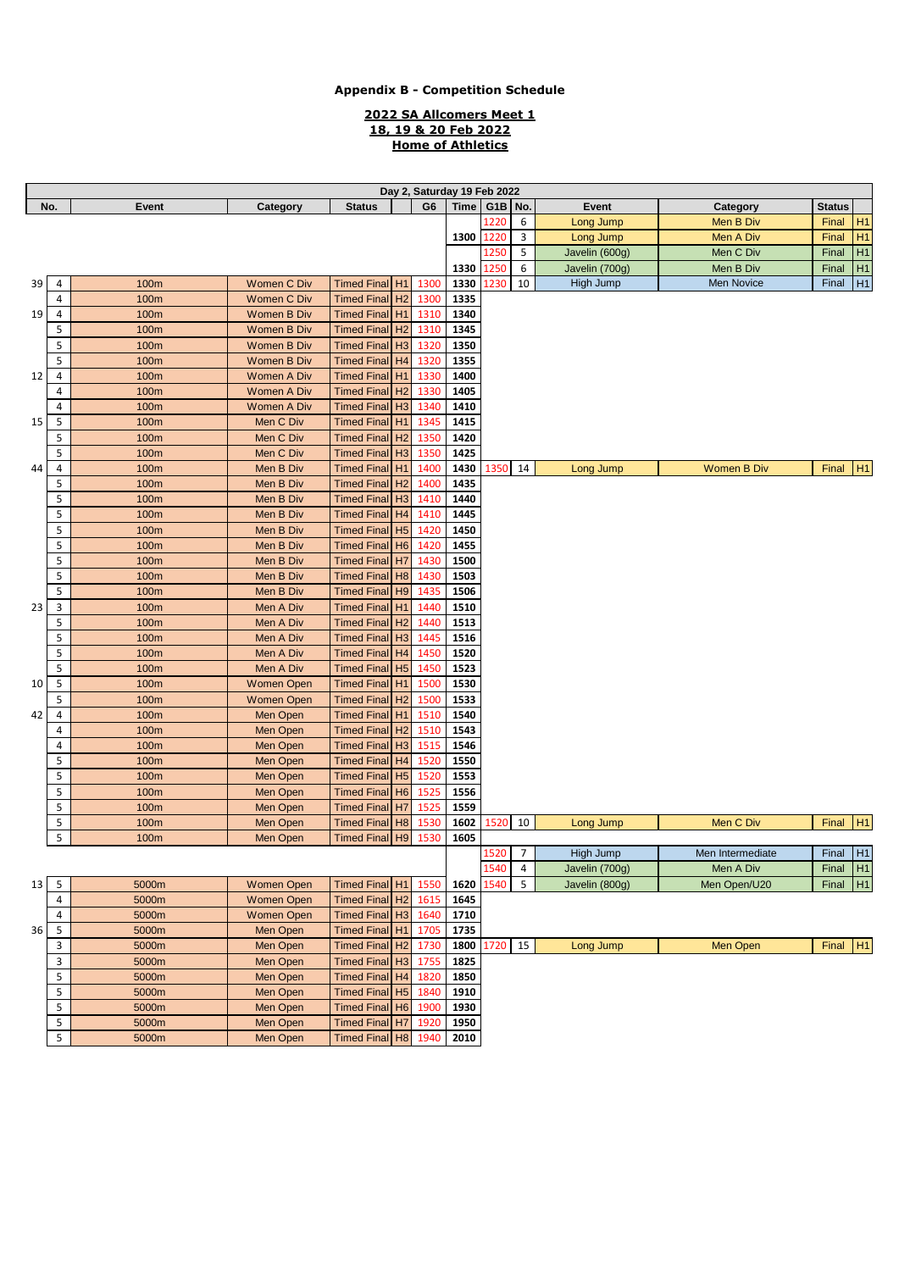#### **2022 SA Allcomers Meet 1 18, 19 & 20 Feb 2022 Home of Athletics**

|                 | Day 2, Saturday 19 Feb 2022 |             |                    |                            |                |                |             |           |                |                |                    |               |    |
|-----------------|-----------------------------|-------------|--------------------|----------------------------|----------------|----------------|-------------|-----------|----------------|----------------|--------------------|---------------|----|
|                 | No.                         | Event       | Category           | <b>Status</b>              |                | G <sub>6</sub> | <b>Time</b> | $G1B$ No. |                | Event          | Category           | <b>Status</b> |    |
|                 |                             |             |                    |                            |                |                |             | 1220      | 6              | Long Jump      | Men B Div          | Final         | H1 |
|                 |                             |             |                    |                            |                |                | 1300        | 1220      | 3              | Long Jump      | Men A Div          | Final         | H1 |
|                 |                             |             |                    |                            |                |                |             | 1250      | 5              | Javelin (600g) | Men C Div          | Final         | H1 |
|                 |                             |             |                    |                            |                |                | 1330        | 1250      | 6              | Javelin (700g) | Men B Div          | Final         | H1 |
| 39              | 4                           | 100m        | <b>Women C Div</b> | Timed Final H1             |                | 1300           | 1330        | 1230      | 10             | High Jump      | Men Novice         | Final         | H1 |
|                 | 4                           | 100m        | Women C Div        | Timed Final H2             |                | 1300           | 1335        |           |                |                |                    |               |    |
| 19 <sup>°</sup> | 4                           | 100m        | Women B Div        | <b>Timed Final</b>         | H <sub>1</sub> | 1310           | 1340        |           |                |                |                    |               |    |
|                 | 5                           | 100m        | Women B Div        | <b>Timed Final</b>         | H <sub>2</sub> | 1310           | 1345        |           |                |                |                    |               |    |
|                 | 5                           | 100m        | Women B Div        | Timed Final H <sub>3</sub> |                | 1320           | 1350        |           |                |                |                    |               |    |
|                 | 5                           | 100m        | Women B Div        | <b>Timed Final</b>         | H4             | 1320           | 1355        |           |                |                |                    |               |    |
| 12              | 4                           | 100m        | <b>Women A Div</b> | <b>Timed Final</b>         | H1             | 1330           | 1400        |           |                |                |                    |               |    |
|                 | 4                           | <b>100m</b> | <b>Women A Div</b> | <b>Timed Final</b>         | H <sub>2</sub> | 1330           | 1405        |           |                |                |                    |               |    |
|                 | 4                           | 100m        | <b>Women A Div</b> | <b>Timed Final</b>         | H3             | 1340           | 1410        |           |                |                |                    |               |    |
| 15 <sup>1</sup> | 5                           | 100m        | Men C Div          | <b>Timed Final</b>         | H <sub>1</sub> | 1345           | 1415        |           |                |                |                    |               |    |
|                 | 5                           | 100m        | Men C Div          | <b>Timed Final</b>         | H <sub>2</sub> | 1350           | 1420        |           |                |                |                    |               |    |
|                 | 5                           | 100m        | Men C Div          | <b>Timed Final</b>         | H3             | 1350           | 1425        |           |                |                |                    |               |    |
| 44              | 4                           | 100m        | Men B Div          | <b>Timed Final</b>         | H1             | 1400           | 1430        | 1350      | 14             | Long Jump      | <b>Women B Div</b> | Final H1      |    |
|                 | 5                           | 100m        | Men B Div          | <b>Timed Final</b>         | H <sub>2</sub> | 1400           | 1435        |           |                |                |                    |               |    |
|                 | 5                           | 100m        | Men B Div          | Timed Final H <sub>3</sub> |                | 1410           | 1440        |           |                |                |                    |               |    |
|                 | 5                           | 100m        | Men B Div          | <b>Timed Final</b>         | H <sub>4</sub> | 1410           | 1445        |           |                |                |                    |               |    |
|                 | 5                           | 100m        | Men B Div          | <b>Timed Final</b>         | H <sub>5</sub> | 1420           | 1450        |           |                |                |                    |               |    |
|                 | 5                           | 100m        | Men B Div          | <b>Timed Final</b>         | H <sub>6</sub> | 1420           | 1455        |           |                |                |                    |               |    |
|                 | 5                           | 100m        | Men B Div          | <b>Timed Final</b>         | H <sub>7</sub> | 1430           | 1500        |           |                |                |                    |               |    |
|                 | 5                           | 100m        | Men B Div          | <b>Timed Final</b>         | H8             | 1430           | 1503        |           |                |                |                    |               |    |
|                 | 5                           | 100m        | Men B Div          | <b>Timed Final</b>         | H <sub>9</sub> | 1435           | 1506        |           |                |                |                    |               |    |
| 23 <sub>1</sub> | 3                           | 100m        | Men A Div          | Timed Final H1             |                | 1440           | 1510        |           |                |                |                    |               |    |
|                 | 5                           | 100m        | Men A Div          | <b>Timed Final</b>         | H <sub>2</sub> | 1440           | 1513        |           |                |                |                    |               |    |
|                 | 5                           | 100m        | Men A Div          | <b>Timed Final</b>         | H <sub>3</sub> | 1445           | 1516        |           |                |                |                    |               |    |
|                 | 5                           | 100m        | Men A Div          | Timed Final H4             |                | 1450           | 1520        |           |                |                |                    |               |    |
|                 | 5                           | 100m        | Men A Div          | <b>Timed Final</b>         | H5             | 1450           | 1523        |           |                |                |                    |               |    |
| 10              | 5                           | 100m        | <b>Women Open</b>  | <b>Timed Final</b>         | H1             | 1500           | 1530        |           |                |                |                    |               |    |
|                 | 5                           | 100m        | Women Open         | <b>Timed Final</b>         | H <sub>2</sub> | 1500           | 1533        |           |                |                |                    |               |    |
| 42              | 4                           | 100m        | Men Open           | <b>Timed Final</b>         | H <sub>1</sub> | 1510           | 1540        |           |                |                |                    |               |    |
|                 | 4                           | 100m        | Men Open           | Timed Final H <sub>2</sub> |                | 1510           | 1543        |           |                |                |                    |               |    |
|                 | 4                           | 100m        | Men Open           | <b>Timed Final</b>         | H <sub>3</sub> | 1515           | 1546        |           |                |                |                    |               |    |
|                 | 5                           | 100m        | Men Open           | Timed Final H4             |                | 1520           | 1550        |           |                |                |                    |               |    |
|                 | 5                           | 100m        | Men Open           | <b>Timed Final</b>         | H <sub>5</sub> | 1520           | 1553        |           |                |                |                    |               |    |
|                 | 5                           | 100m        | Men Open           | <b>Timed Final</b>         | H <sub>6</sub> | 1525           | 1556        |           |                |                |                    |               |    |
|                 | 5                           | 100m        | Men Open           | Timed Final H7             |                | 1525           | 1559        |           |                |                |                    |               |    |
|                 | 5                           | 100m        | Men Open           | <b>Timed Final</b>         | H8             | 1530           | 1602        | 1520      | 10             | Long Jump      | Men C Div          | Final         | H1 |
|                 | 5                           | 100m        | <b>Men Open</b>    | <b>Timed Final</b>         | H <sub>9</sub> | 1530           | 1605        |           |                |                |                    |               |    |
|                 |                             |             |                    |                            |                |                |             | 1520      | $\overline{7}$ | High Jump      | Men Intermediate   | Final $H1$    |    |
|                 |                             |             |                    |                            |                |                |             | 1540      | 4              | Javelin (700g) | Men A Div          | Final $H1$    |    |
| 13 <sup>1</sup> | 5                           | 5000m       | <b>Women Open</b>  | Timed Final H1             |                | 1550           | 1620        | 1540      | 5              | Javelin (800g) | Men Open/U20       | Final H1      |    |
|                 | 4                           | 5000m       | <b>Women Open</b>  | <b>Timed Final</b>         | H <sub>2</sub> | 1615           | 1645        |           |                |                |                    |               |    |
|                 | 4                           | 5000m       | <b>Women Open</b>  | Timed Final H3             |                | 1640           | 1710        |           |                |                |                    |               |    |
| 36              | 5                           | 5000m       | Men Open           | Timed Final H1             |                | 1705           | 1735        |           |                |                |                    |               |    |
|                 | 3                           | 5000m       | Men Open           | <b>Timed Final</b>         | H <sub>2</sub> | 1730           | 1800        | 1720 15   |                | Long Jump      | Men Open           | Final H1      |    |
|                 | 3                           | 5000m       | Men Open           | <b>Timed Final</b>         | H <sub>3</sub> | 1755           | 1825        |           |                |                |                    |               |    |
|                 | 5                           | 5000m       | Men Open           | <b>Timed Final</b>         | H4             | 1820           | 1850        |           |                |                |                    |               |    |
|                 | 5                           | 5000m       | Men Open           | Timed Final H5             |                | 1840           | 1910        |           |                |                |                    |               |    |
|                 | 5                           | 5000m       | Men Open           | Timed Final H6             |                | 1900           | 1930        |           |                |                |                    |               |    |
|                 | 5                           | 5000m       | Men Open           | <b>Timed Final</b>         | H <sub>7</sub> | 1920           | 1950        |           |                |                |                    |               |    |
|                 | 5                           | 5000m       | Men Open           | Timed Final H8             |                | 1940           | 2010        |           |                |                |                    |               |    |
|                 |                             |             |                    |                            |                |                |             |           |                |                |                    |               |    |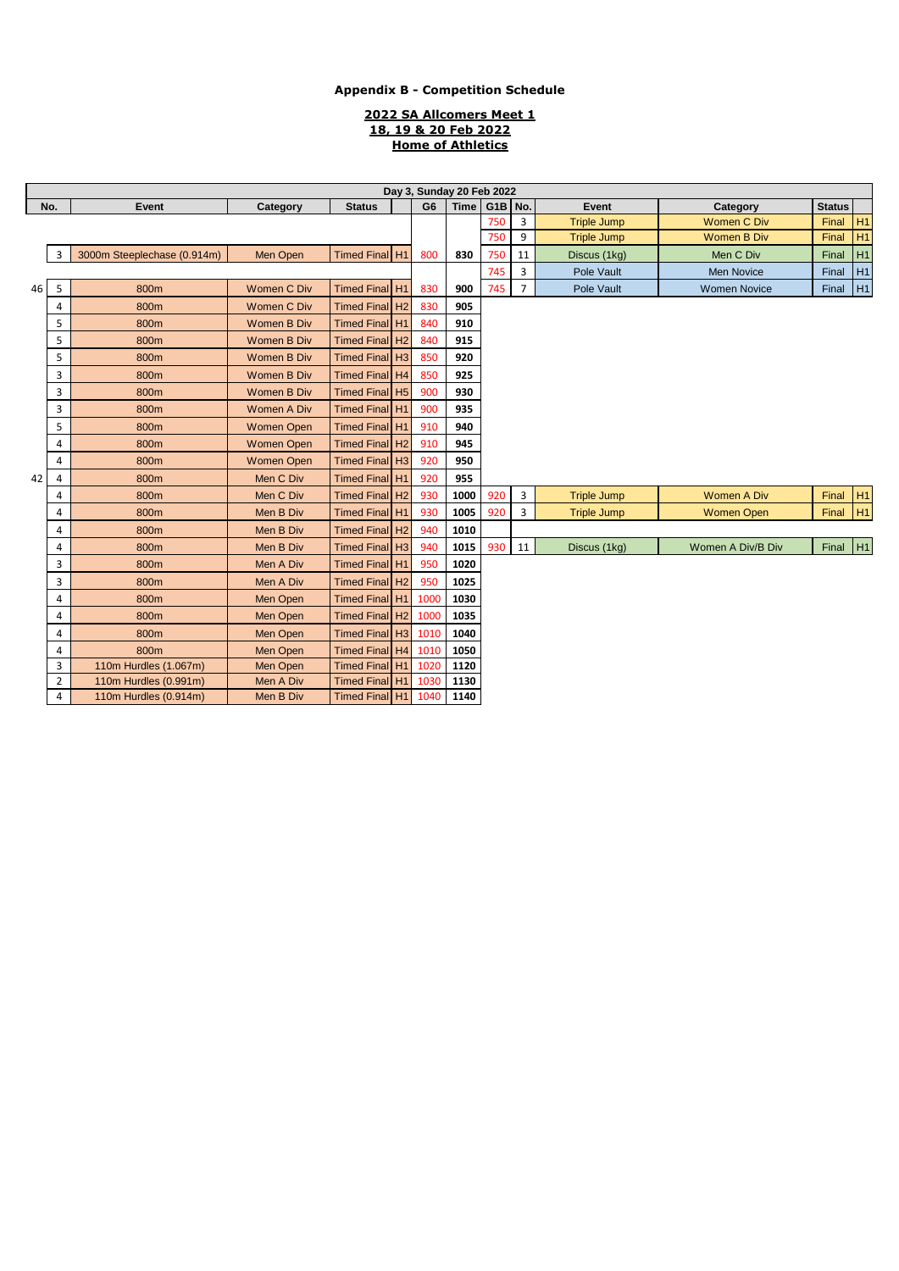### **2022 SA Allcomers Meet 1 18, 19 & 20 Feb 2022 Home of Athletics**

|              | Dav 3. Sunday 20 Feb 2022 |                             |                    |                            |  |                |             |                      |                    |                    |                     |               |                |
|--------------|---------------------------|-----------------------------|--------------------|----------------------------|--|----------------|-------------|----------------------|--------------------|--------------------|---------------------|---------------|----------------|
| No.<br>Event |                           |                             | Category           | <b>Status</b>              |  | G <sub>6</sub> | <b>Time</b> | G <sub>1</sub> B No. |                    | Event              | Category            | <b>Status</b> |                |
|              |                           |                             |                    |                            |  | 750            | 3           | <b>Triple Jump</b>   | <b>Women C Div</b> | Final              | H <sub>1</sub>      |               |                |
|              |                           |                             |                    |                            |  |                |             | 750                  | 9                  | <b>Triple Jump</b> | <b>Women B Div</b>  | Final         | H <sub>1</sub> |
|              | 3                         | 3000m Steeplechase (0.914m) | <b>Men Open</b>    | Timed Final H1             |  | 800            | 830         | 750                  | 11                 | Discus (1kg)       | Men C Div           | Final         | H1             |
|              |                           |                             |                    |                            |  |                |             | 745                  | 3                  | Pole Vault         | <b>Men Novice</b>   | Final         | H1             |
| 46           | 5                         | 800m                        | <b>Women C Div</b> | Timed Final H1             |  | 830            | 900         | 745                  | $\overline{7}$     | Pole Vault         | <b>Women Novice</b> | Final         | H1             |
|              | 4                         | 800m                        | <b>Women C Div</b> | Timed Final H <sub>2</sub> |  | 830            | 905         |                      |                    |                    |                     |               |                |
|              | 5                         | 800m                        | <b>Women B Div</b> | Timed Final H1             |  | 840            | 910         |                      |                    |                    |                     |               |                |
|              | 5                         | 800m                        | <b>Women B Div</b> | Timed Final H <sub>2</sub> |  | 840            | 915         |                      |                    |                    |                     |               |                |
|              | 5                         | 800m                        | <b>Women B Div</b> | Timed Final H <sub>3</sub> |  | 850            | 920         |                      |                    |                    |                     |               |                |
|              | 3                         | 800m                        | <b>Women B Div</b> | Timed Final H4             |  | 850            | 925         |                      |                    |                    |                     |               |                |
|              | 3                         | 800m                        | Women B Div        | Timed Final H5             |  | 900            | 930         |                      |                    |                    |                     |               |                |
|              | 3                         | 800m                        | Women A Div        | Timed Final H1             |  | 900            | 935         |                      |                    |                    |                     |               |                |
|              | 5                         | 800m                        | <b>Women Open</b>  | Timed Final H1             |  | 910            | 940         |                      |                    |                    |                     |               |                |
|              | $\overline{4}$            | 800m                        | <b>Women Open</b>  | Timed Final H <sub>2</sub> |  | 910            | 945         |                      |                    |                    |                     |               |                |
|              | 4                         | 800m                        | <b>Women Open</b>  | Timed Final H <sub>3</sub> |  | 920            | 950         |                      |                    |                    |                     |               |                |
| 42           | 4                         | 800m                        | Men C Div          | Timed Final H1             |  | 920            | 955         |                      |                    |                    |                     |               |                |
|              | 4                         | 800m                        | Men C Div          | Timed Final H <sub>2</sub> |  | 930            | 1000        | 920                  | 3                  | <b>Triple Jump</b> | <b>Women A Div</b>  | Final         | H <sub>1</sub> |
|              | 4                         | 800m                        | Men B Div          | Timed Final H1             |  | 930            | 1005        | 920                  | 3                  | <b>Triple Jump</b> | <b>Women Open</b>   | Final         | H <sub>1</sub> |
|              | 4                         | 800m                        | Men B Div          | Timed Final H <sub>2</sub> |  | 940            | 1010        |                      |                    |                    |                     |               |                |
|              | $\overline{4}$            | 800m                        | Men B Div          | Timed Final H <sub>3</sub> |  | 940            | 1015        | 930                  | 11                 | Discus (1kg)       | Women A Div/B Div   | Final         | H1             |
|              | 3                         | 800m                        | Men A Div          | Timed Final H1             |  | 950            | 1020        |                      |                    |                    |                     |               |                |
|              | 3                         | 800m                        | Men A Div          | Timed Final H <sub>2</sub> |  | 950            | 1025        |                      |                    |                    |                     |               |                |
|              | 4                         | 800m                        | Men Open           | Timed Final H1             |  | 1000           | 1030        |                      |                    |                    |                     |               |                |
|              | 4                         | 800m                        | Men Open           | Timed Final H2             |  | 1000           | 1035        |                      |                    |                    |                     |               |                |
|              | 4                         | 800m                        | Men Open           | Timed Final H3             |  | 1010           | 1040        |                      |                    |                    |                     |               |                |
|              | 4                         | 800m                        | Men Open           | Timed Final H4             |  | 1010           | 1050        |                      |                    |                    |                     |               |                |
|              | 3                         | 110m Hurdles (1.067m)       | Men Open           | Timed Final H1             |  | 1020           | 1120        |                      |                    |                    |                     |               |                |
|              | $\overline{2}$            | 110m Hurdles (0.991m)       | Men A Div          | Timed Final H1             |  | 1030           | 1130        |                      |                    |                    |                     |               |                |
|              | 4                         | 110m Hurdles (0.914m)       | Men B Div          | Timed Final H1             |  | 1040           | 1140        |                      |                    |                    |                     |               |                |